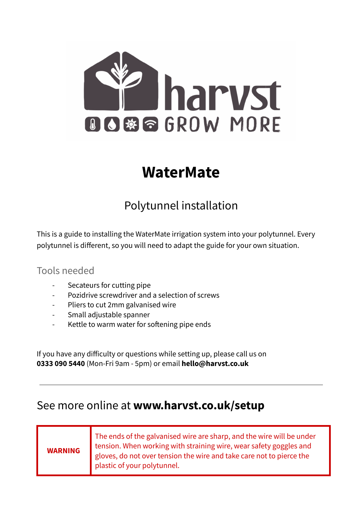

# **WaterMate**

## Polytunnel installation

This is a guide to installing the WaterMate irrigation system into your polytunnel. Every polytunnel is different, so you will need to adapt the guide for your own situation.

#### Tools needed

- Secateurs for cutting pipe
- Pozidrive screwdriver and a selection of screws
- Pliers to cut 2mm galvanised wire
- Small adjustable spanner
- Kettle to warm water for softening pipe ends

If you have any difficulty or questions while setting up, please call us on **0333 090 5440** (Mon-Fri 9am - 5pm) or email **hello@harvst.co.uk**

### See more online at **www.harvst.co.uk/setup**

#### **WARNING** The ends of the galvanised wire are sharp, and the wire will be under tension. When working with straining wire, wear safety goggles and gloves, do not over tension the wire and take care not to pierce the plastic of your polytunnel.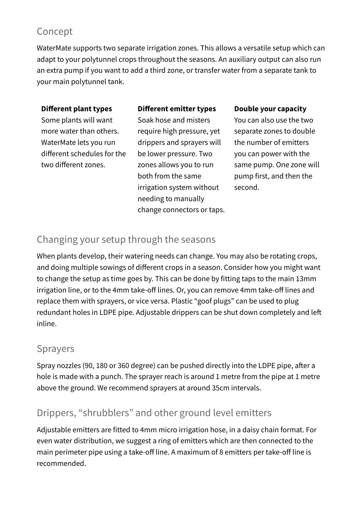### Concept

WaterMate supports two separate irrigation zones. This allows a versatile setup which can adapt to your polytunnel crops throughout the seasons. An auxiliary output can also run an extra pump if you want to add a third zone, or transfer water from a separate tank to your main polytunnel tank.

#### **Different plant types**

#### **Different emitter types**

Some plants will want more water than others. WaterMate lets you run different schedules for the two different zones.

Soak hose and misters require high pressure, yet drippers and sprayers will be lower pressure. Two zones allows you to run both from the same irrigation system without needing to manually change connectors or taps.

#### **Double your capacity**

You can also use the two separate zones to double the number of emitters you can power with the same pump. One zone will pump first, and then the second.

#### Changing your setup through the seasons

When plants develop, their watering needs can change. You may also be rotating crops, and doing multiple sowings of different crops in a season. Consider how you might want to change the setup as time goes by. This can be done by fitting taps to the main 13mm irrigation line, or to the 4mm take-off lines. Or, you can remove 4mm take-off lines and replace them with sprayers, or vice versa. Plastic "goof plugs" can be used to plug redundant holes in LDPE pipe. Adjustable drippers can be shut down completely and left inline.

#### Sprayers

Spray nozzles (90, 180 or 360 degree) can be pushed directly into the LDPE pipe, after a hole is made with a punch. The sprayer reach is around 1 metre from the pipe at 1 metre above the ground. We recommend sprayers at around 35cm intervals.

### Drippers, "shrubblers" and other ground level emitters

Adjustable emitters are fitted to 4mm micro irrigation hose, in a daisy chain format. For even water distribution, we suggest a ring of emitters which are then connected to the main perimeter pipe using a take-off line. A maximum of 8 emitters per take-off line is recommended.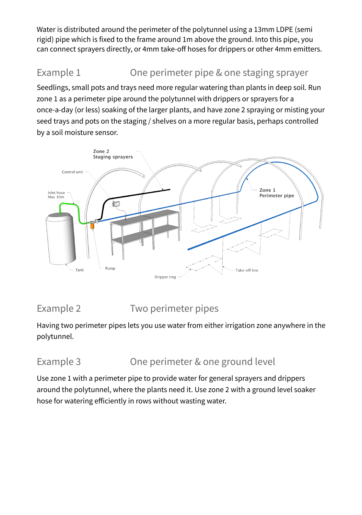Water is distributed around the perimeter of the polytunnel using a 13mm LDPE (semi rigid) pipe which is fixed to the frame around 1m above the ground. Into this pipe, you can connect sprayers directly, or 4mm take-off hoses for drippers or other 4mm emitters.

### Example 1 Che perimeter pipe & one staging sprayer

Seedlings, small pots and trays need more regular watering than plants in deep soil. Run zone 1 as a perimeter pipe around the polytunnel with drippers or sprayers for a once-a-day (or less) soaking of the larger plants, and have zone 2 spraying or misting your seed trays and pots on the staging / shelves on a more regular basis, perhaps controlled by a soil moisture sensor.



### Example 2 Two perimeter pipes

Having two perimeter pipes lets you use water from either irrigation zone anywhere in the polytunnel.

### Example 3 Che perimeter & one ground level

Use zone 1 with a perimeter pipe to provide water for general sprayers and drippers around the polytunnel, where the plants need it. Use zone 2 with a ground level soaker hose for watering efficiently in rows without wasting water.